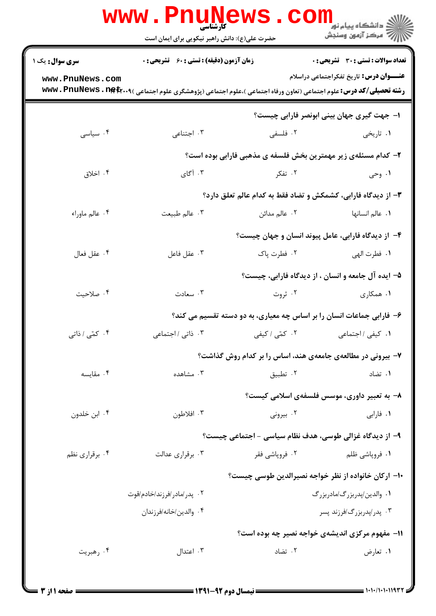|                        | <b>www.PnuNews</b>                                 | حضرت علی(ع): دانش راهبر نیکویی برای ایمان است                                                                                    | COI<br>رد دانشڪاه پيام نور ■<br>ا√ مرکز آزمون وسنڊش |
|------------------------|----------------------------------------------------|----------------------------------------------------------------------------------------------------------------------------------|-----------------------------------------------------|
| <b>سری سوال :</b> یک ۱ | <b>زمان آزمون (دقیقه) : تستی : 60 ٪ تشریحی : 0</b> |                                                                                                                                  | تعداد سوالات : تستى : 30 - تشريحي : 0               |
| www.PnuNews.com        |                                                    | <b>رشته تحصیلی/کد درس:</b> علوم اجتماعی (تعاون ورفاه اجتماعی )،علوم اجتماعی (پژوهشگری علوم اجتماعی ) <b>\wwv . PnuNews . net</b> | <b>عنـــوان درس:</b> تاریخ تفکراجتماعی دراسلام      |
|                        |                                                    |                                                                                                                                  | ا– جهت گیری جهان بینی ابونصر فارابی چیست؟           |
| ۰۴ سیاسی               | ۰۳ اجتناعی                                         | ۲. فلسفی                                                                                                                         | ۰۱ تاریخی                                           |
|                        |                                                    | ۲- کدام مسئلهی زیر مهمترین بخش فلسفه ی مذهبی فارابی بوده است؟                                                                    |                                                     |
| ۰۴ اخلاق               | ۰۳ آگای                                            | ۲. تفکر                                                                                                                          | ۰۱ وحی                                              |
|                        |                                                    | ۳- از دیدگاه فارابی، کشمکش و تضاد فقط به کدام عالم تعلق دارد؟                                                                    |                                                     |
| ۰۴ عالم ماوراء         | ۰۳ عالم طبيعت                                      | ٠٢ عالم مدائن                                                                                                                    | ٠١. عالم انسانها                                    |
|                        |                                                    |                                                                                                                                  | ۴- از دیدگاه فارابی، عامل پیوند انسان و جهان چیست؟  |
| ۰۴ عقل فعال            | ۰۳ عقل فاعل                                        | ۰۲ فطرت پاک                                                                                                                      | <b>۱</b> . فطرت الهي                                |
|                        |                                                    |                                                                                                                                  | ۵– ایده آل جامعه و انسان ، از دیدگاه فارابی، چیست؟  |
| ۰۴ صلاحیت              | ۰۳ سعادت                                           | ۰۲ ثروت                                                                                                                          | ۰۱ همکاری                                           |
|                        |                                                    | ۶– فارابی جماعات انسان را بر اساس چه معیاری، به دو دسته تقسیم می کند؟                                                            |                                                     |
| ۰۴ کمّی / ذاتی         | ۰۳ ذاتی / اجتماعی                                  | ۰۲ کم <i>تی ا</i> کیفی                                                                                                           | ۰۱ کیفی <i>۱</i> اجتماعی                            |
|                        |                                                    | ۷- بیرونی در مطالعهی جامعهی هند، اساس را بر کدام روش گذاشت؟                                                                      |                                                     |
| ۰۴ مقايسه              | ۰۳ مشاهده                                          | ۰۲ تطبيق                                                                                                                         | ۰۱ تضاد                                             |
|                        |                                                    |                                                                                                                                  | ۸– به تعبیر داوری، موسس فلسفهی اسلامی کیست؟         |
| ۰۴ ابن خلدون           | ۰۳ افلاطون                                         | ۰۲ بیرونی                                                                                                                        | ۰۱ فارابی                                           |
|                        |                                                    | ۹- از دیدگاه غزالی طوسی، هدف نظام سیاسی - اجتماعی چیست؟                                                                          |                                                     |
| ۰۴ برقراري نظم         | ۰۳ برقراری عدالت                                   | ۰۲ فروپاشی فقر                                                                                                                   | ۰۱ فروپاشی ظلم                                      |
|                        |                                                    |                                                                                                                                  | ۱۰– ارکان خانواده از نظر خواجه نصیرالدین طوسی چیست؟ |
|                        | ۰۲ پدر/مادر/فرزند/خادم/قوت                         |                                                                                                                                  | ۰۱ والدين/پدربزرگ/مادربزرگ                          |
|                        | ۰۴ والدين/خانه/فرزندان                             |                                                                                                                                  | ۰۳ پدر/پدربزرگ/فرزند پسر                            |
|                        |                                                    |                                                                                                                                  | 11- مفهوم مرکزی اندیشهی خواجه نصیر چه بوده است؟     |
| ۰۴ رهبريت              | ۰۳ اعتدال                                          | ۰۲ تضاد                                                                                                                          | ۰۱ تعارض                                            |
|                        |                                                    |                                                                                                                                  |                                                     |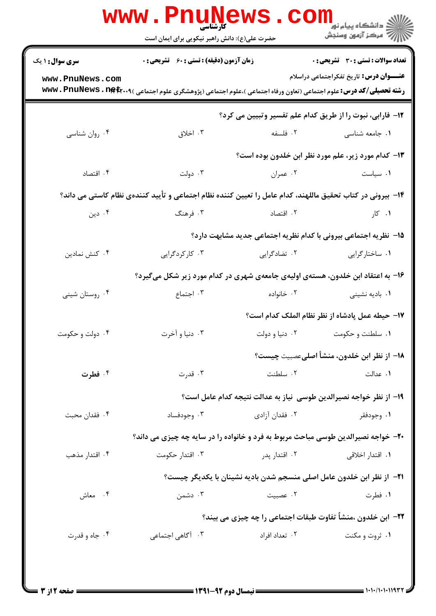|                                           | <b>www.PnuNews</b><br><b>کارشناسی</b><br>حضرت علی(ع): دانش راهبر نیکویی برای ایمان است                                                                                                 |                                                                        | ر دانشگاه پيام نور <mark>−</mark><br>ار∕* مرکز آزمون وسنجش                              |
|-------------------------------------------|----------------------------------------------------------------------------------------------------------------------------------------------------------------------------------------|------------------------------------------------------------------------|-----------------------------------------------------------------------------------------|
| <b>سری سوال : ۱ یک</b><br>www.PnuNews.com | <b>زمان آزمون (دقیقه) : تستی : 60 ٪ تشریحی : 0</b><br><b>رشته تحصیلی/کد درس:</b> علوم اجتماعی (تعاون ورفاه اجتماعی )،علوم اجتماعی (پژوهشگری علوم اجتماعی ) <b>\wwv . PnuNews . net</b> |                                                                        | تعداد سوالات : تستي : 30 ٪ تشريحي : 0<br><b>عنـــوان درس:</b> تاریخ تفکراجتماعی دراسلام |
|                                           |                                                                                                                                                                                        | <b>۱۲</b> - فارابی، نبوت را از طریق کدام علم تفسیر وتبیین می کرد؟      |                                                                                         |
| ۰۴ روان شناسي                             | ۰۳ اخلاق                                                                                                                                                                               | ۰۲ فلسفه                                                               | ۰۱ جامعه شناسی                                                                          |
|                                           |                                                                                                                                                                                        |                                                                        | ۱۳- کدام مورد زیر، علم مورد نظر ابن خلدون بوده است؟                                     |
| ۰۴ اقتصاد                                 | ۰۳ دولت                                                                                                                                                                                | ۰۲ عمران                                                               | ٠١ سياست                                                                                |
|                                           | ۱۴– بیرونی در کتاب تحقیق ماللهند، کدام عامل را تعیین کننده نظام اجتماعی و تأیید کنندهی نظام کاستی می داند؟                                                                             |                                                                        |                                                                                         |
| ۰۴ دین                                    | ۰۳ فرهنگ                                                                                                                                                                               | ۰۲ اقتصاد                                                              | ۰۱ کار                                                                                  |
|                                           |                                                                                                                                                                                        | 15- نظریه اجتماعی بیرونی با کدام نظریه اجتماعی جدید مشابهت دارد؟       |                                                                                         |
| ۰۴ کنش نمادین                             | ۰۳ کارکردگرایی                                                                                                                                                                         | ۰۲ تضادگرایی                                                           | ۰۱ ساختارگرایی                                                                          |
|                                           | ۱۶- به اعتقاد ابن خلدون، هستهی اولیهی جامعهی شهری در کدام مورد زیر شکل میگیرد؟                                                                                                         |                                                                        |                                                                                         |
| ۰۴ روستان شینی                            | ۰۳ اجتماع                                                                                                                                                                              | ۰۲ خانواده                                                             | <b>۱</b> . بادیه نشینی                                                                  |
|                                           |                                                                                                                                                                                        |                                                                        | ۱۷– حیطه عمل پادشاه از نظر نظام الملک کدام است؟                                         |
| ۰۴ دولت و حکومت                           | ۰۳ دنيا و آخرت                                                                                                                                                                         | ۰۲ دنيا و دولت                                                         | ۰۱ سلطنت و حکومت                                                                        |
|                                           |                                                                                                                                                                                        |                                                                        | 18− از نظر ابن خلدون، منشأ اصليءصبيت چيست؟                                              |
| ۰۴ فطرت                                   | ۰۳ قدرت                                                                                                                                                                                | ۰۲ سلطنت                                                               | ۰۱ عدالت                                                                                |
|                                           |                                                                                                                                                                                        | ۱۹– از نظر خواجه نصیرالدین طوسی ً نیاز به عدالت نتیجه کدام عامل است؟   |                                                                                         |
| ۰۴ فقدان محبت                             | ۰۳ وجودفساد                                                                                                                                                                            | ۰۲ فقدان آزادی                                                         | ۰۱ وجودفقر                                                                              |
|                                           | ۲۰- خواجه نصیرالدین طوسی مباحث مربوط به فرد و خانواده را در سایه چه چیزی می داند؟                                                                                                      |                                                                        |                                                                                         |
| ۰۴ اقتدار مذهب                            | ۰۳ اقتدار حکومت                                                                                                                                                                        | ۰۲ اقتدار پدر                                                          | ۰۱ اقتدار اخلاقی                                                                        |
|                                           |                                                                                                                                                                                        | ۰۲۱− از نظر ابن خلدون عامل اصلی منسجم شدن بادیه نشینان با یکدیگر چیست؟ |                                                                                         |
| ۰۴ معاش                                   | ۰۳ دشمن                                                                                                                                                                                | ۰۲ عصبیت                                                               | ۰۱ فطرت                                                                                 |
|                                           |                                                                                                                                                                                        | <b>۲۲</b> – ابن خلدون ،منشأ تفاوت طبقات اجتماعی را چه چیزی می بیند؟    |                                                                                         |
| ۰۴ جاه و قدرت                             | ۰۳ آگاهی اجتماعی                                                                                                                                                                       | ۰۲ تعداد افراد                                                         | ۰۱ ثروت و مکنت                                                                          |
|                                           |                                                                                                                                                                                        |                                                                        |                                                                                         |
|                                           |                                                                                                                                                                                        |                                                                        |                                                                                         |